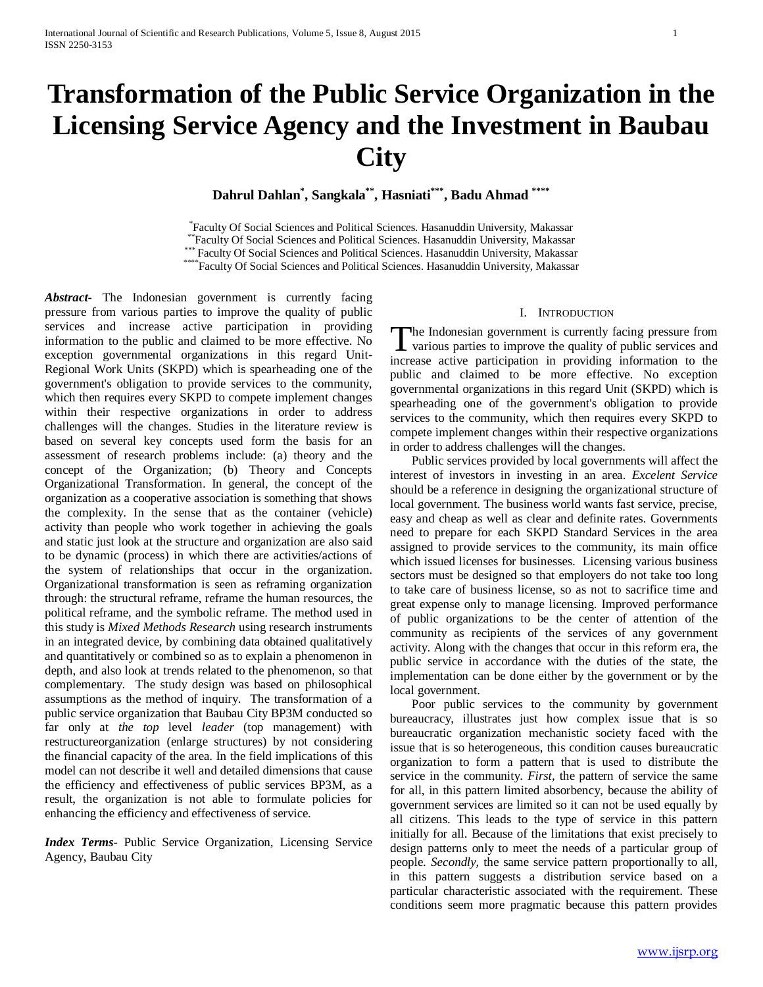# **Transformation of the Public Service Organization in the Licensing Service Agency and the Investment in Baubau City**

**Dahrul Dahlan\* , Sangkala\*\*, Hasniati\*\*\*, Badu Ahmad \*\*\*\***

\*Faculty Of Social Sciences and Political Sciences. Hasanuddin University, Makassar \*\*Faculty Of Social Sciences and Political Sciences. Hasanuddin University, Makassar<br>\*\*\* Faculty Of Social Sciences and Political Sciences. Hasanuddin University, Makassar<br>\*\*\*\*Faculty Of Social Sciences and Political Scien

*Abstract***-** The Indonesian government is currently facing pressure from various parties to improve the quality of public services and increase active participation in providing information to the public and claimed to be more effective. No exception governmental organizations in this regard Unit-Regional Work Units (SKPD) which is spearheading one of the government's obligation to provide services to the community, which then requires every SKPD to compete implement changes within their respective organizations in order to address challenges will the changes. Studies in the literature review is based on several key concepts used form the basis for an assessment of research problems include: (a) theory and the concept of the Organization; (b) Theory and Concepts Organizational Transformation. In general, the concept of the organization as a cooperative association is something that shows the complexity. In the sense that as the container (vehicle) activity than people who work together in achieving the goals and static just look at the structure and organization are also said to be dynamic (process) in which there are activities/actions of the system of relationships that occur in the organization. Organizational transformation is seen as reframing organization through: the structural reframe, reframe the human resources, the political reframe, and the symbolic reframe. The method used in this study is *Mixed Methods Research* using research instruments in an integrated device, by combining data obtained qualitatively and quantitatively or combined so as to explain a phenomenon in depth, and also look at trends related to the phenomenon, so that complementary. The study design was based on philosophical assumptions as the method of inquiry. The transformation of a public service organization that Baubau City BP3M conducted so far only at *the top* level *leader* (top management) with restructureorganization (enlarge structures) by not considering the financial capacity of the area. In the field implications of this model can not describe it well and detailed dimensions that cause the efficiency and effectiveness of public services BP3M, as a result, the organization is not able to formulate policies for enhancing the efficiency and effectiveness of service.

*Index Terms*- Public Service Organization, Licensing Service Agency, Baubau City

# I. INTRODUCTION

he Indonesian government is currently facing pressure from The Indonesian government is currently facing pressure from<br>various parties to improve the quality of public services and increase active participation in providing information to the public and claimed to be more effective. No exception governmental organizations in this regard Unit (SKPD) which is spearheading one of the government's obligation to provide services to the community, which then requires every SKPD to compete implement changes within their respective organizations in order to address challenges will the changes.

 Public services provided by local governments will affect the interest of investors in investing in an area. *Excelent Service* should be a reference in designing the organizational structure of local government. The business world wants fast service, precise, easy and cheap as well as clear and definite rates. Governments need to prepare for each SKPD Standard Services in the area assigned to provide services to the community, its main office which issued licenses for businesses. Licensing various business sectors must be designed so that employers do not take too long to take care of business license, so as not to sacrifice time and great expense only to manage licensing. Improved performance of public organizations to be the center of attention of the community as recipients of the services of any government activity. Along with the changes that occur in this reform era, the public service in accordance with the duties of the state, the implementation can be done either by the government or by the local government.

 Poor public services to the community by government bureaucracy, illustrates just how complex issue that is so bureaucratic organization mechanistic society faced with the issue that is so heterogeneous, this condition causes bureaucratic organization to form a pattern that is used to distribute the service in the community. *First,* the pattern of service the same for all, in this pattern limited absorbency, because the ability of government services are limited so it can not be used equally by all citizens. This leads to the type of service in this pattern initially for all. Because of the limitations that exist precisely to design patterns only to meet the needs of a particular group of people. *Secondly,* the same service pattern proportionally to all, in this pattern suggests a distribution service based on a particular characteristic associated with the requirement. These conditions seem more pragmatic because this pattern provides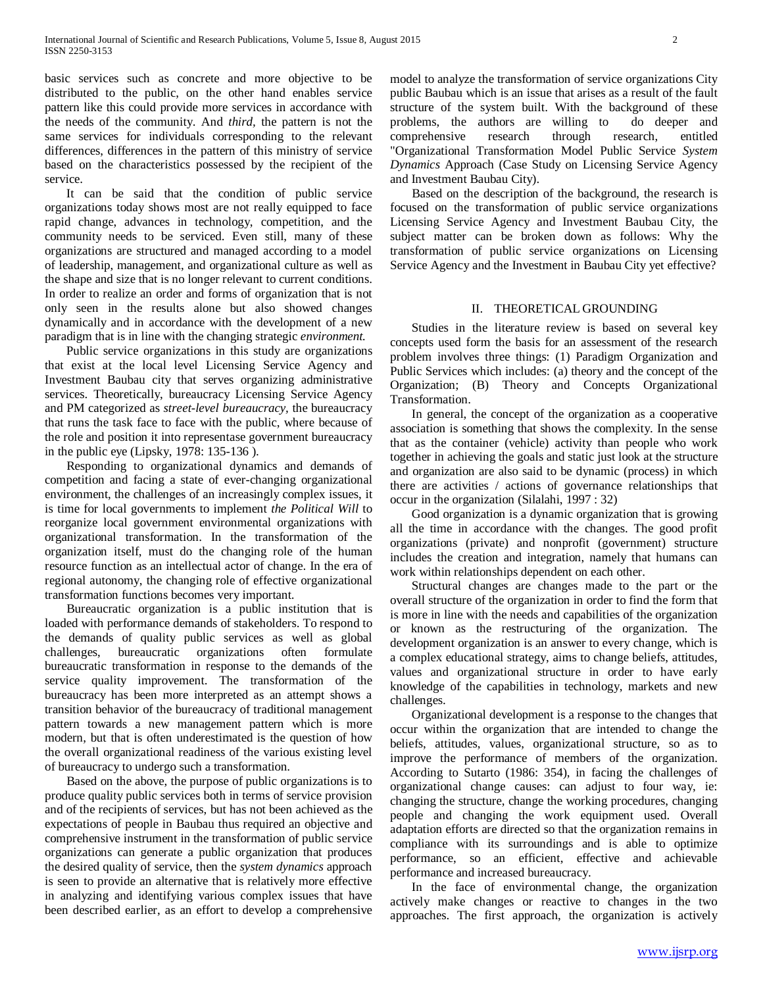basic services such as concrete and more objective to be distributed to the public, on the other hand enables service pattern like this could provide more services in accordance with the needs of the community. And *third,* the pattern is not the same services for individuals corresponding to the relevant differences, differences in the pattern of this ministry of service based on the characteristics possessed by the recipient of the service.

 It can be said that the condition of public service organizations today shows most are not really equipped to face rapid change, advances in technology, competition, and the community needs to be serviced. Even still, many of these organizations are structured and managed according to a model of leadership, management, and organizational culture as well as the shape and size that is no longer relevant to current conditions. In order to realize an order and forms of organization that is not only seen in the results alone but also showed changes dynamically and in accordance with the development of a new paradigm that is in line with the changing strategic *environment.*

 Public service organizations in this study are organizations that exist at the local level Licensing Service Agency and Investment Baubau city that serves organizing administrative services. Theoretically, bureaucracy Licensing Service Agency and PM categorized as *street-level bureaucracy,* the bureaucracy that runs the task face to face with the public, where because of the role and position it into representase government bureaucracy in the public eye (Lipsky, 1978: 135-136 ).

 Responding to organizational dynamics and demands of competition and facing a state of ever-changing organizational environment, the challenges of an increasingly complex issues, it is time for local governments to implement *the Political Will* to reorganize local government environmental organizations with organizational transformation. In the transformation of the organization itself, must do the changing role of the human resource function as an intellectual actor of change. In the era of regional autonomy, the changing role of effective organizational transformation functions becomes very important.

 Bureaucratic organization is a public institution that is loaded with performance demands of stakeholders. To respond to the demands of quality public services as well as global challenges, bureaucratic organizations often formulate bureaucratic transformation in response to the demands of the service quality improvement. The transformation of the bureaucracy has been more interpreted as an attempt shows a transition behavior of the bureaucracy of traditional management pattern towards a new management pattern which is more modern, but that is often underestimated is the question of how the overall organizational readiness of the various existing level of bureaucracy to undergo such a transformation.

 Based on the above, the purpose of public organizations is to produce quality public services both in terms of service provision and of the recipients of services, but has not been achieved as the expectations of people in Baubau thus required an objective and comprehensive instrument in the transformation of public service organizations can generate a public organization that produces the desired quality of service, then the *system dynamics* approach is seen to provide an alternative that is relatively more effective in analyzing and identifying various complex issues that have been described earlier, as an effort to develop a comprehensive model to analyze the transformation of service organizations City public Baubau which is an issue that arises as a result of the fault structure of the system built. With the background of these problems, the authors are willing to do deeper and comprehensive research through research, entitled "Organizational Transformation Model Public Service *System Dynamics* Approach (Case Study on Licensing Service Agency and Investment Baubau City).

 Based on the description of the background, the research is focused on the transformation of public service organizations Licensing Service Agency and Investment Baubau City, the subject matter can be broken down as follows: Why the transformation of public service organizations on Licensing Service Agency and the Investment in Baubau City yet effective?

## II. THEORETICAL GROUNDING

 Studies in the literature review is based on several key concepts used form the basis for an assessment of the research problem involves three things: (1) Paradigm Organization and Public Services which includes: (a) theory and the concept of the Organization; (B) Theory and Concepts Organizational Transformation.

 In general, the concept of the organization as a cooperative association is something that shows the complexity. In the sense that as the container (vehicle) activity than people who work together in achieving the goals and static just look at the structure and organization are also said to be dynamic (process) in which there are activities / actions of governance relationships that occur in the organization (Silalahi, 1997 : 32)

 Good organization is a dynamic organization that is growing all the time in accordance with the changes. The good profit organizations (private) and nonprofit (government) structure includes the creation and integration, namely that humans can work within relationships dependent on each other.

 Structural changes are changes made to the part or the overall structure of the organization in order to find the form that is more in line with the needs and capabilities of the organization or known as the restructuring of the organization. The development organization is an answer to every change, which is a complex educational strategy, aims to change beliefs, attitudes, values and organizational structure in order to have early knowledge of the capabilities in technology, markets and new challenges.

 Organizational development is a response to the changes that occur within the organization that are intended to change the beliefs, attitudes, values, organizational structure, so as to improve the performance of members of the organization. According to Sutarto (1986: 354), in facing the challenges of organizational change causes: can adjust to four way, ie: changing the structure, change the working procedures, changing people and changing the work equipment used. Overall adaptation efforts are directed so that the organization remains in compliance with its surroundings and is able to optimize performance, so an efficient, effective and achievable performance and increased bureaucracy.

 In the face of environmental change, the organization actively make changes or reactive to changes in the two approaches. The first approach, the organization is actively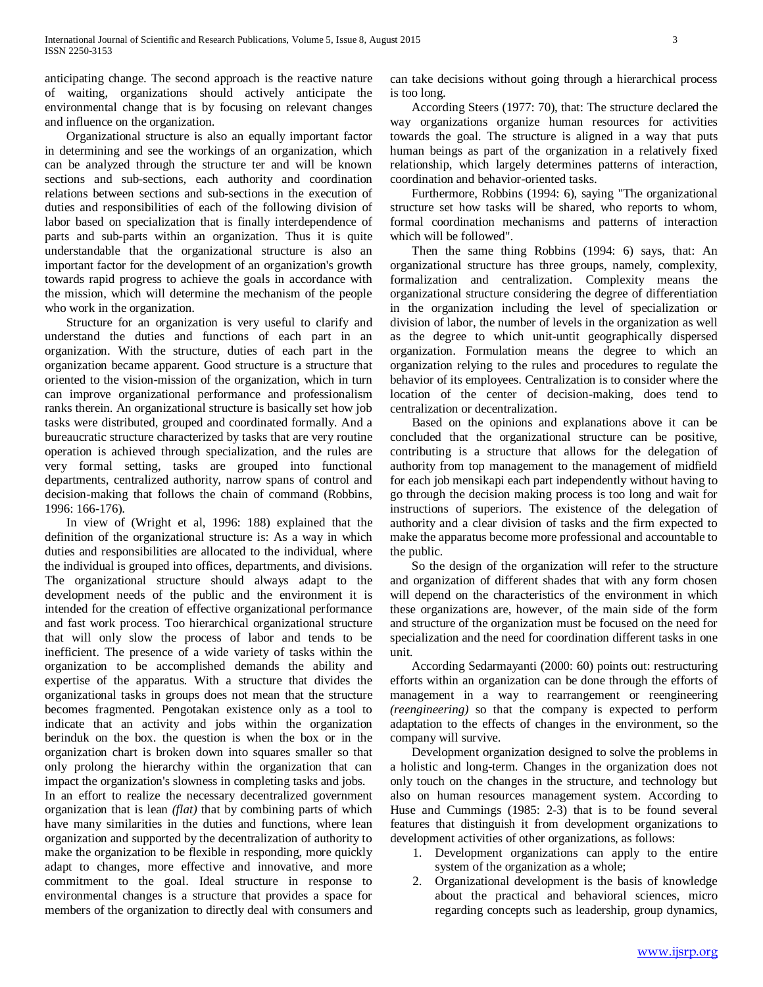anticipating change. The second approach is the reactive nature of waiting, organizations should actively anticipate the environmental change that is by focusing on relevant changes and influence on the organization.

 Organizational structure is also an equally important factor in determining and see the workings of an organization, which can be analyzed through the structure ter and will be known sections and sub-sections, each authority and coordination relations between sections and sub-sections in the execution of duties and responsibilities of each of the following division of labor based on specialization that is finally interdependence of parts and sub-parts within an organization. Thus it is quite understandable that the organizational structure is also an important factor for the development of an organization's growth towards rapid progress to achieve the goals in accordance with the mission, which will determine the mechanism of the people who work in the organization.

 Structure for an organization is very useful to clarify and understand the duties and functions of each part in an organization. With the structure, duties of each part in the organization became apparent. Good structure is a structure that oriented to the vision-mission of the organization, which in turn can improve organizational performance and professionalism ranks therein. An organizational structure is basically set how job tasks were distributed, grouped and coordinated formally. And a bureaucratic structure characterized by tasks that are very routine operation is achieved through specialization, and the rules are very formal setting, tasks are grouped into functional departments, centralized authority, narrow spans of control and decision-making that follows the chain of command (Robbins, 1996: 166-176).

 In view of (Wright et al, 1996: 188) explained that the definition of the organizational structure is: As a way in which duties and responsibilities are allocated to the individual, where the individual is grouped into offices, departments, and divisions. The organizational structure should always adapt to the development needs of the public and the environment it is intended for the creation of effective organizational performance and fast work process. Too hierarchical organizational structure that will only slow the process of labor and tends to be inefficient. The presence of a wide variety of tasks within the organization to be accomplished demands the ability and expertise of the apparatus. With a structure that divides the organizational tasks in groups does not mean that the structure becomes fragmented. Pengotakan existence only as a tool to indicate that an activity and jobs within the organization berinduk on the box. the question is when the box or in the organization chart is broken down into squares smaller so that only prolong the hierarchy within the organization that can impact the organization's slowness in completing tasks and jobs.

In an effort to realize the necessary decentralized government organization that is lean *(flat)* that by combining parts of which have many similarities in the duties and functions, where lean organization and supported by the decentralization of authority to make the organization to be flexible in responding, more quickly adapt to changes, more effective and innovative, and more commitment to the goal. Ideal structure in response to environmental changes is a structure that provides a space for members of the organization to directly deal with consumers and can take decisions without going through a hierarchical process is too long.

 According Steers (1977: 70), that: The structure declared the way organizations organize human resources for activities towards the goal. The structure is aligned in a way that puts human beings as part of the organization in a relatively fixed relationship, which largely determines patterns of interaction, coordination and behavior-oriented tasks.

 Furthermore, Robbins (1994: 6), saying "The organizational structure set how tasks will be shared, who reports to whom, formal coordination mechanisms and patterns of interaction which will be followed".

 Then the same thing Robbins (1994: 6) says, that: An organizational structure has three groups, namely, complexity, formalization and centralization. Complexity means the organizational structure considering the degree of differentiation in the organization including the level of specialization or division of labor, the number of levels in the organization as well as the degree to which unit-untit geographically dispersed organization. Formulation means the degree to which an organization relying to the rules and procedures to regulate the behavior of its employees. Centralization is to consider where the location of the center of decision-making, does tend to centralization or decentralization.

 Based on the opinions and explanations above it can be concluded that the organizational structure can be positive, contributing is a structure that allows for the delegation of authority from top management to the management of midfield for each job mensikapi each part independently without having to go through the decision making process is too long and wait for instructions of superiors. The existence of the delegation of authority and a clear division of tasks and the firm expected to make the apparatus become more professional and accountable to the public.

 So the design of the organization will refer to the structure and organization of different shades that with any form chosen will depend on the characteristics of the environment in which these organizations are, however, of the main side of the form and structure of the organization must be focused on the need for specialization and the need for coordination different tasks in one unit.

 According Sedarmayanti (2000: 60) points out: restructuring efforts within an organization can be done through the efforts of management in a way to rearrangement or reengineering *(reengineering)* so that the company is expected to perform adaptation to the effects of changes in the environment, so the company will survive.

 Development organization designed to solve the problems in a holistic and long-term. Changes in the organization does not only touch on the changes in the structure, and technology but also on human resources management system. According to Huse and Cummings (1985: 2-3) that is to be found several features that distinguish it from development organizations to development activities of other organizations, as follows:

- 1. Development organizations can apply to the entire system of the organization as a whole;
- 2. Organizational development is the basis of knowledge about the practical and behavioral sciences, micro regarding concepts such as leadership, group dynamics,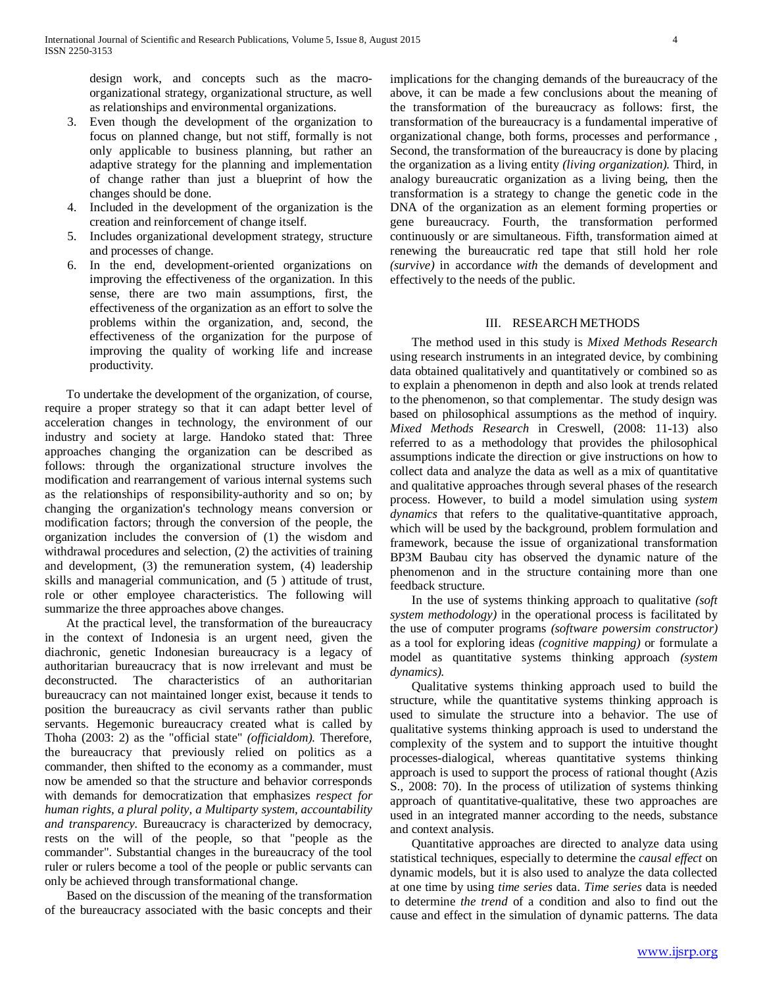design work, and concepts such as the macroorganizational strategy, organizational structure, as well as relationships and environmental organizations.

- 3. Even though the development of the organization to focus on planned change, but not stiff, formally is not only applicable to business planning, but rather an adaptive strategy for the planning and implementation of change rather than just a blueprint of how the changes should be done.
- 4. Included in the development of the organization is the creation and reinforcement of change itself.
- 5. Includes organizational development strategy, structure and processes of change.
- 6. In the end, development-oriented organizations on improving the effectiveness of the organization. In this sense, there are two main assumptions, first, the effectiveness of the organization as an effort to solve the problems within the organization, and, second, the effectiveness of the organization for the purpose of improving the quality of working life and increase productivity.

 To undertake the development of the organization, of course, require a proper strategy so that it can adapt better level of acceleration changes in technology, the environment of our industry and society at large. Handoko stated that: Three approaches changing the organization can be described as follows: through the organizational structure involves the modification and rearrangement of various internal systems such as the relationships of responsibility-authority and so on; by changing the organization's technology means conversion or modification factors; through the conversion of the people, the organization includes the conversion of (1) the wisdom and withdrawal procedures and selection,  $(2)$  the activities of training and development, (3) the remuneration system, (4) leadership skills and managerial communication, and (5 ) attitude of trust, role or other employee characteristics. The following will summarize the three approaches above changes.

 At the practical level, the transformation of the bureaucracy in the context of Indonesia is an urgent need, given the diachronic, genetic Indonesian bureaucracy is a legacy of authoritarian bureaucracy that is now irrelevant and must be deconstructed. The characteristics of an authoritarian bureaucracy can not maintained longer exist, because it tends to position the bureaucracy as civil servants rather than public servants. Hegemonic bureaucracy created what is called by Thoha (2003: 2) as the "official state" *(officialdom).* Therefore, the bureaucracy that previously relied on politics as a commander, then shifted to the economy as a commander, must now be amended so that the structure and behavior corresponds with demands for democratization that emphasizes *respect for human rights, a plural polity, a Multiparty system, accountability and transparency.* Bureaucracy is characterized by democracy, rests on the will of the people, so that "people as the commander". Substantial changes in the bureaucracy of the tool ruler or rulers become a tool of the people or public servants can only be achieved through transformational change.

 Based on the discussion of the meaning of the transformation of the bureaucracy associated with the basic concepts and their implications for the changing demands of the bureaucracy of the above, it can be made a few conclusions about the meaning of the transformation of the bureaucracy as follows: first, the transformation of the bureaucracy is a fundamental imperative of organizational change, both forms, processes and performance , Second, the transformation of the bureaucracy is done by placing the organization as a living entity *(living organization).* Third, in analogy bureaucratic organization as a living being, then the transformation is a strategy to change the genetic code in the DNA of the organization as an element forming properties or gene bureaucracy. Fourth, the transformation performed continuously or are simultaneous. Fifth, transformation aimed at renewing the bureaucratic red tape that still hold her role *(survive)* in accordance *with* the demands of development and effectively to the needs of the public.

# III. RESEARCH METHODS

 The method used in this study is *Mixed Methods Research* using research instruments in an integrated device, by combining data obtained qualitatively and quantitatively or combined so as to explain a phenomenon in depth and also look at trends related to the phenomenon, so that complementar. The study design was based on philosophical assumptions as the method of inquiry. *Mixed Methods Research* in Creswell, (2008: 11-13) also referred to as a methodology that provides the philosophical assumptions indicate the direction or give instructions on how to collect data and analyze the data as well as a mix of quantitative and qualitative approaches through several phases of the research process. However, to build a model simulation using *system dynamics* that refers to the qualitative-quantitative approach, which will be used by the background, problem formulation and framework, because the issue of organizational transformation BP3M Baubau city has observed the dynamic nature of the phenomenon and in the structure containing more than one feedback structure.

 In the use of systems thinking approach to qualitative *(soft system methodology)* in the operational process is facilitated by the use of computer programs *(software powersim constructor)* as a tool for exploring ideas *(cognitive mapping)* or formulate a model as quantitative systems thinking approach *(system dynamics).*

 Qualitative systems thinking approach used to build the structure, while the quantitative systems thinking approach is used to simulate the structure into a behavior. The use of qualitative systems thinking approach is used to understand the complexity of the system and to support the intuitive thought processes-dialogical, whereas quantitative systems thinking approach is used to support the process of rational thought (Azis S., 2008: 70). In the process of utilization of systems thinking approach of quantitative-qualitative, these two approaches are used in an integrated manner according to the needs, substance and context analysis.

 Quantitative approaches are directed to analyze data using statistical techniques, especially to determine the *causal effect* on dynamic models, but it is also used to analyze the data collected at one time by using *time series* data. *Time series* data is needed to determine *the trend* of a condition and also to find out the cause and effect in the simulation of dynamic patterns. The data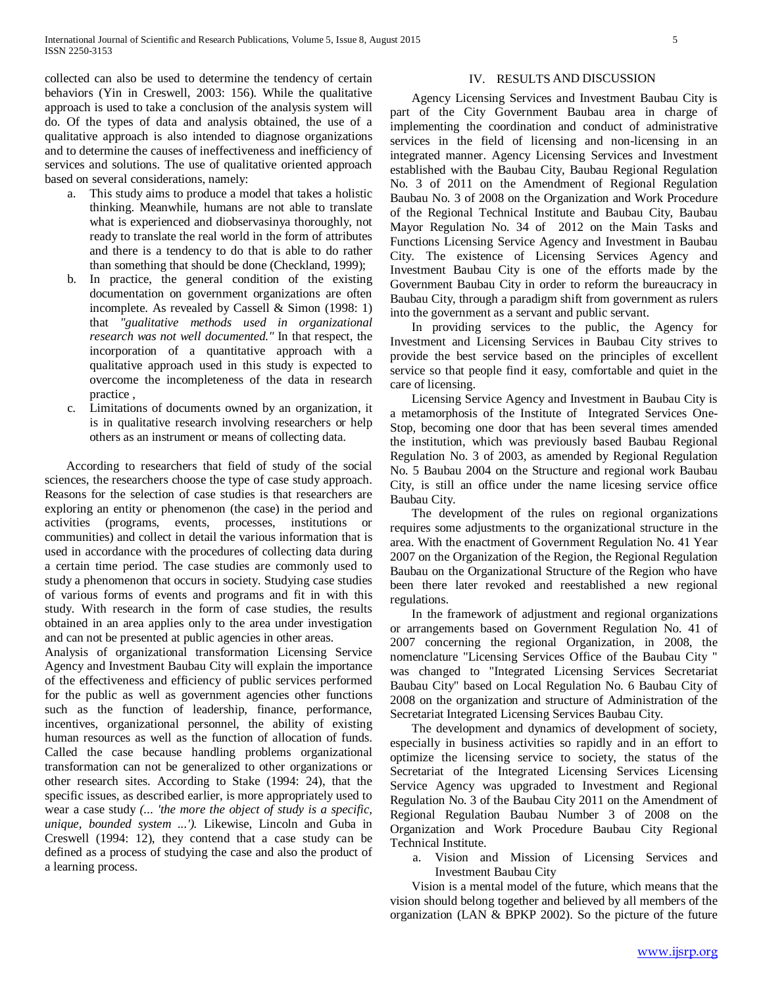collected can also be used to determine the tendency of certain behaviors (Yin in Creswell, 2003: 156). While the qualitative approach is used to take a conclusion of the analysis system will do. Of the types of data and analysis obtained, the use of a qualitative approach is also intended to diagnose organizations and to determine the causes of ineffectiveness and inefficiency of services and solutions. The use of qualitative oriented approach based on several considerations, namely:

- a. This study aims to produce a model that takes a holistic thinking. Meanwhile, humans are not able to translate what is experienced and diobservasinya thoroughly, not ready to translate the real world in the form of attributes and there is a tendency to do that is able to do rather than something that should be done (Checkland, 1999);
- b. In practice, the general condition of the existing documentation on government organizations are often incomplete. As revealed by Cassell & Simon (1998: 1) that *"gualitative methods used in organizational research was not well documented."* In that respect, the incorporation of a quantitative approach with a qualitative approach used in this study is expected to overcome the incompleteness of the data in research practice ,
- c. Limitations of documents owned by an organization, it is in qualitative research involving researchers or help others as an instrument or means of collecting data.

 According to researchers that field of study of the social sciences, the researchers choose the type of case study approach. Reasons for the selection of case studies is that researchers are exploring an entity or phenomenon (the case) in the period and activities (programs, events, processes, institutions or communities) and collect in detail the various information that is used in accordance with the procedures of collecting data during a certain time period. The case studies are commonly used to study a phenomenon that occurs in society. Studying case studies of various forms of events and programs and fit in with this study. With research in the form of case studies, the results obtained in an area applies only to the area under investigation and can not be presented at public agencies in other areas.

Analysis of organizational transformation Licensing Service Agency and Investment Baubau City will explain the importance of the effectiveness and efficiency of public services performed for the public as well as government agencies other functions such as the function of leadership, finance, performance, incentives, organizational personnel, the ability of existing human resources as well as the function of allocation of funds. Called the case because handling problems organizational transformation can not be generalized to other organizations or other research sites. According to Stake (1994: 24), that the specific issues, as described earlier, is more appropriately used to wear a case study *(... 'the more the object of study is a specific, unique, bounded system ...').* Likewise, Lincoln and Guba in Creswell (1994: 12), they contend that a case study can be defined as a process of studying the case and also the product of a learning process.

## IV. RESULTS AND DISCUSSION

 Agency Licensing Services and Investment Baubau City is part of the City Government Baubau area in charge of implementing the coordination and conduct of administrative services in the field of licensing and non-licensing in an integrated manner. Agency Licensing Services and Investment established with the Baubau City, Baubau Regional Regulation No. 3 of 2011 on the Amendment of Regional Regulation Baubau No. 3 of 2008 on the Organization and Work Procedure of the Regional Technical Institute and Baubau City, Baubau Mayor Regulation No. 34 of 2012 on the Main Tasks and Functions Licensing Service Agency and Investment in Baubau City. The existence of Licensing Services Agency and Investment Baubau City is one of the efforts made by the Government Baubau City in order to reform the bureaucracy in Baubau City, through a paradigm shift from government as rulers into the government as a servant and public servant.

 In providing services to the public, the Agency for Investment and Licensing Services in Baubau City strives to provide the best service based on the principles of excellent service so that people find it easy, comfortable and quiet in the care of licensing.

 Licensing Service Agency and Investment in Baubau City is a metamorphosis of the Institute of Integrated Services One-Stop, becoming one door that has been several times amended the institution, which was previously based Baubau Regional Regulation No. 3 of 2003, as amended by Regional Regulation No. 5 Baubau 2004 on the Structure and regional work Baubau City, is still an office under the name licesing service office Baubau City.

 The development of the rules on regional organizations requires some adjustments to the organizational structure in the area. With the enactment of Government Regulation No. 41 Year 2007 on the Organization of the Region, the Regional Regulation Baubau on the Organizational Structure of the Region who have been there later revoked and reestablished a new regional regulations.

 In the framework of adjustment and regional organizations or arrangements based on Government Regulation No. 41 of 2007 concerning the regional Organization, in 2008, the nomenclature "Licensing Services Office of the Baubau City " was changed to "Integrated Licensing Services Secretariat Baubau City" based on Local Regulation No. 6 Baubau City of 2008 on the organization and structure of Administration of the Secretariat Integrated Licensing Services Baubau City.

 The development and dynamics of development of society, especially in business activities so rapidly and in an effort to optimize the licensing service to society, the status of the Secretariat of the Integrated Licensing Services Licensing Service Agency was upgraded to Investment and Regional Regulation No. 3 of the Baubau City 2011 on the Amendment of Regional Regulation Baubau Number 3 of 2008 on the Organization and Work Procedure Baubau City Regional Technical Institute.

a. Vision and Mission of Licensing Services and Investment Baubau City

 Vision is a mental model of the future, which means that the vision should belong together and believed by all members of the organization (LAN & BPKP 2002). So the picture of the future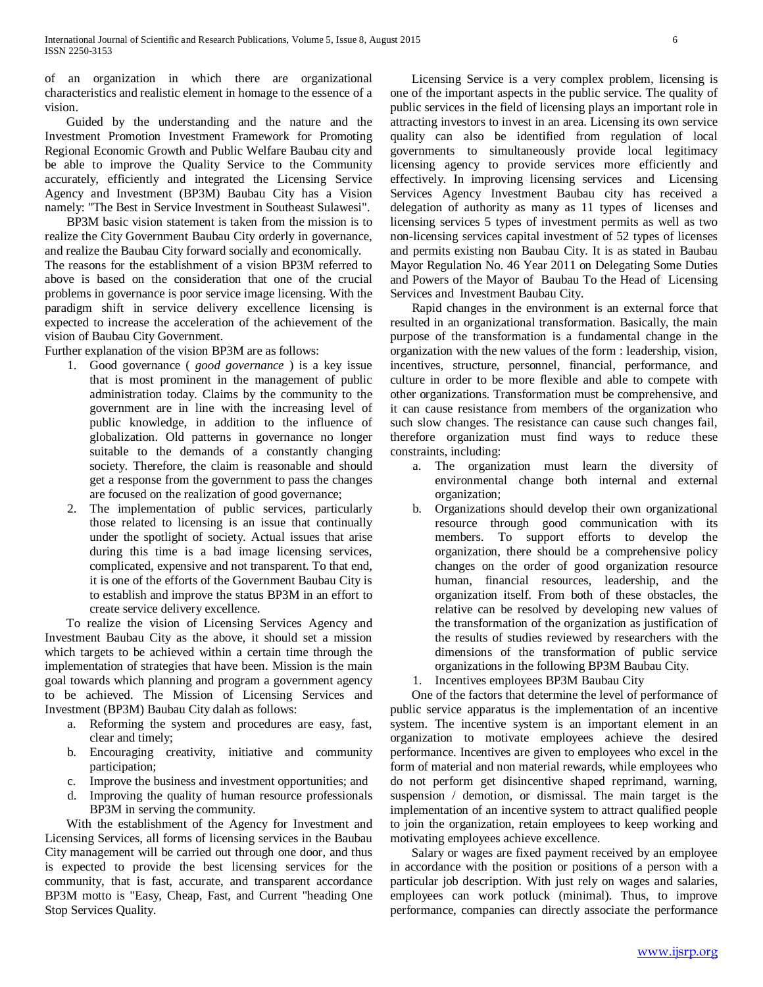of an organization in which there are organizational characteristics and realistic element in homage to the essence of a vision.

 Guided by the understanding and the nature and the Investment Promotion Investment Framework for Promoting Regional Economic Growth and Public Welfare Baubau city and be able to improve the Quality Service to the Community accurately, efficiently and integrated the Licensing Service Agency and Investment (BP3M) Baubau City has a Vision namely: "The Best in Service Investment in Southeast Sulawesi".

 BP3M basic vision statement is taken from the mission is to realize the City Government Baubau City orderly in governance, and realize the Baubau City forward socially and economically.

The reasons for the establishment of a vision BP3M referred to above is based on the consideration that one of the crucial problems in governance is poor service image licensing. With the paradigm shift in service delivery excellence licensing is expected to increase the acceleration of the achievement of the vision of Baubau City Government.

Further explanation of the vision BP3M are as follows:

- 1. Good governance ( *good governance* ) is a key issue that is most prominent in the management of public administration today. Claims by the community to the government are in line with the increasing level of public knowledge, in addition to the influence of globalization. Old patterns in governance no longer suitable to the demands of a constantly changing society. Therefore, the claim is reasonable and should get a response from the government to pass the changes are focused on the realization of good governance;
- 2. The implementation of public services, particularly those related to licensing is an issue that continually under the spotlight of society. Actual issues that arise during this time is a bad image licensing services, complicated, expensive and not transparent. To that end, it is one of the efforts of the Government Baubau City is to establish and improve the status BP3M in an effort to create service delivery excellence.

 To realize the vision of Licensing Services Agency and Investment Baubau City as the above, it should set a mission which targets to be achieved within a certain time through the implementation of strategies that have been. Mission is the main goal towards which planning and program a government agency to be achieved. The Mission of Licensing Services and Investment (BP3M) Baubau City dalah as follows:

- a. Reforming the system and procedures are easy, fast, clear and timely;
- b. Encouraging creativity, initiative and community participation;
- c. Improve the business and investment opportunities; and
- d. Improving the quality of human resource professionals BP3M in serving the community.

 With the establishment of the Agency for Investment and Licensing Services, all forms of licensing services in the Baubau City management will be carried out through one door, and thus is expected to provide the best licensing services for the community, that is fast, accurate, and transparent accordance BP3M motto is "Easy, Cheap, Fast, and Current "heading One Stop Services Quality.

 Licensing Service is a very complex problem, licensing is one of the important aspects in the public service. The quality of public services in the field of licensing plays an important role in attracting investors to invest in an area. Licensing its own service quality can also be identified from regulation of local governments to simultaneously provide local legitimacy licensing agency to provide services more efficiently and effectively. In improving licensing services and Licensing Services Agency Investment Baubau city has received a delegation of authority as many as 11 types of licenses and licensing services 5 types of investment permits as well as two non-licensing services capital investment of 52 types of licenses and permits existing non Baubau City. It is as stated in Baubau Mayor Regulation No. 46 Year 2011 on Delegating Some Duties and Powers of the Mayor of Baubau To the Head of Licensing Services and Investment Baubau City.

 Rapid changes in the environment is an external force that resulted in an organizational transformation. Basically, the main purpose of the transformation is a fundamental change in the organization with the new values of the form : leadership, vision, incentives, structure, personnel, financial, performance, and culture in order to be more flexible and able to compete with other organizations. Transformation must be comprehensive, and it can cause resistance from members of the organization who such slow changes. The resistance can cause such changes fail, therefore organization must find ways to reduce these constraints, including:

- a. The organization must learn the diversity of environmental change both internal and external organization;
- b. Organizations should develop their own organizational resource through good communication with its members. To support efforts to develop the organization, there should be a comprehensive policy changes on the order of good organization resource human, financial resources, leadership, and the organization itself. From both of these obstacles, the relative can be resolved by developing new values of the transformation of the organization as justification of the results of studies reviewed by researchers with the dimensions of the transformation of public service organizations in the following BP3M Baubau City.
- 1. Incentives employees BP3M Baubau City

 One of the factors that determine the level of performance of public service apparatus is the implementation of an incentive system. The incentive system is an important element in an organization to motivate employees achieve the desired performance. Incentives are given to employees who excel in the form of material and non material rewards, while employees who do not perform get disincentive shaped reprimand, warning, suspension / demotion, or dismissal. The main target is the implementation of an incentive system to attract qualified people to join the organization, retain employees to keep working and motivating employees achieve excellence.

 Salary or wages are fixed payment received by an employee in accordance with the position or positions of a person with a particular job description. With just rely on wages and salaries, employees can work potluck (minimal). Thus, to improve performance, companies can directly associate the performance